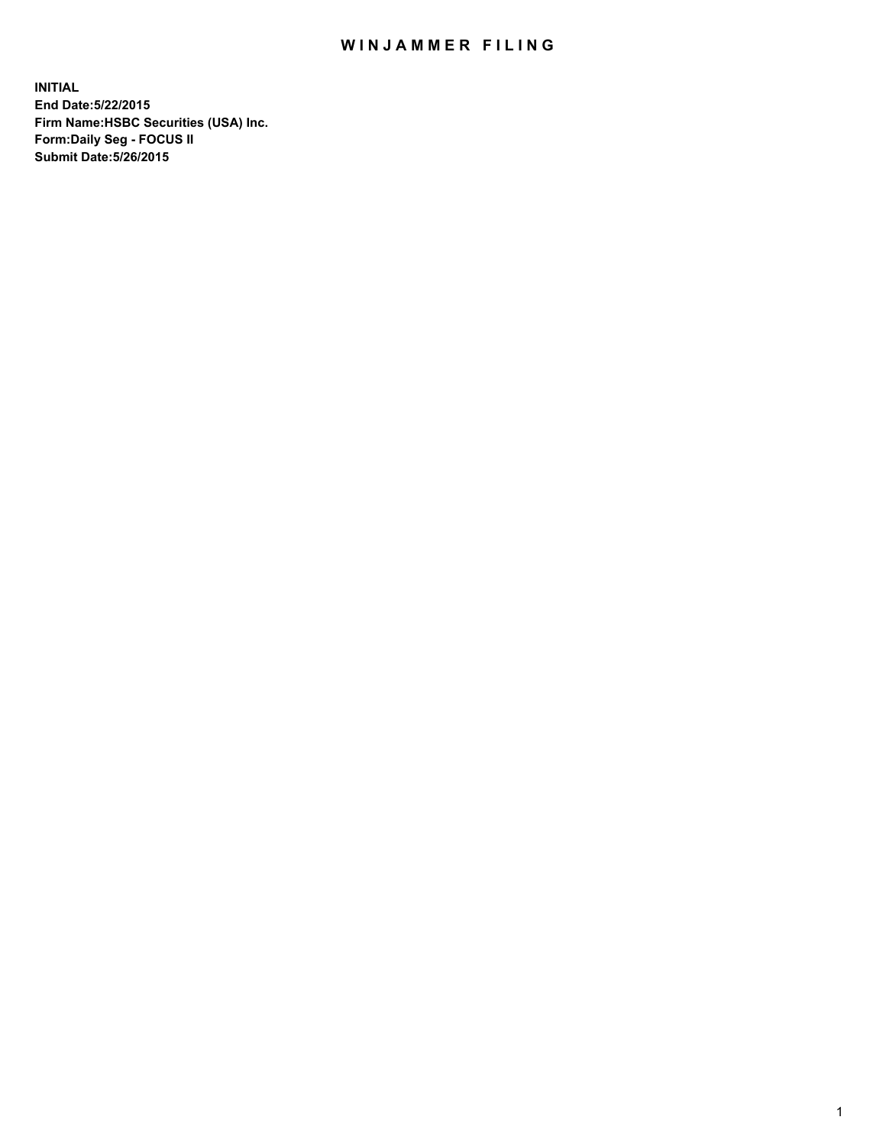## WIN JAMMER FILING

**INITIAL End Date:5/22/2015 Firm Name:HSBC Securities (USA) Inc. Form:Daily Seg - FOCUS II Submit Date:5/26/2015**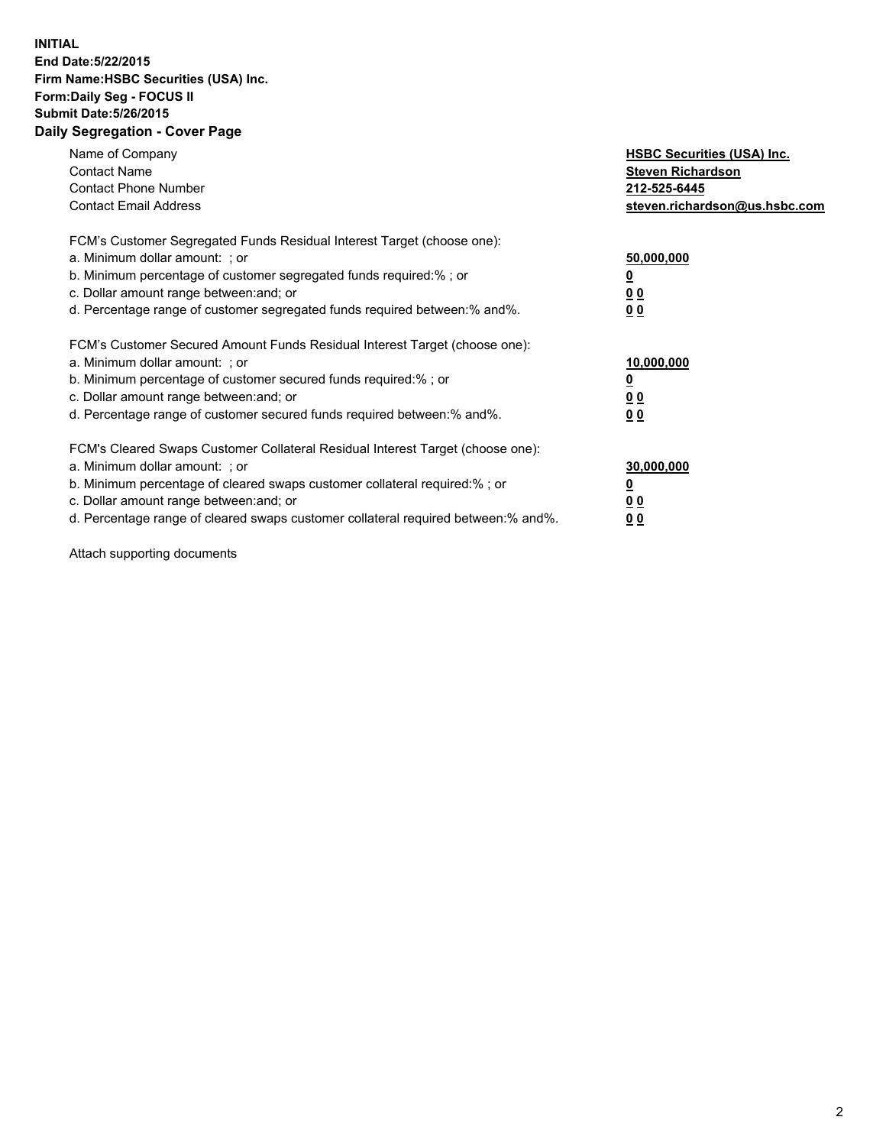## **INITIAL End Date:5/22/2015 Firm Name:HSBC Securities (USA) Inc. Form:Daily Seg - FOCUS II Submit Date:5/26/2015 Daily Segregation - Cover Page**

| Name of Company<br><b>Contact Name</b><br><b>Contact Phone Number</b><br><b>Contact Email Address</b>                                                                                                                                                                                                                          | <b>HSBC Securities (USA) Inc.</b><br><b>Steven Richardson</b><br>212-525-6445<br>steven.richardson@us.hsbc.com |
|--------------------------------------------------------------------------------------------------------------------------------------------------------------------------------------------------------------------------------------------------------------------------------------------------------------------------------|----------------------------------------------------------------------------------------------------------------|
| FCM's Customer Segregated Funds Residual Interest Target (choose one):<br>a. Minimum dollar amount: ; or<br>b. Minimum percentage of customer segregated funds required:%; or<br>c. Dollar amount range between: and; or<br>d. Percentage range of customer segregated funds required between: % and %.                        | 50,000,000<br>0 <sub>0</sub><br>0 <sub>0</sub>                                                                 |
| FCM's Customer Secured Amount Funds Residual Interest Target (choose one):<br>a. Minimum dollar amount: ; or<br>b. Minimum percentage of customer secured funds required:%; or<br>c. Dollar amount range between: and; or<br>d. Percentage range of customer secured funds required between:% and%.                            | 10,000,000<br><u>0</u><br>0 <sub>0</sub><br>0 <sub>0</sub>                                                     |
| FCM's Cleared Swaps Customer Collateral Residual Interest Target (choose one):<br>a. Minimum dollar amount: ; or<br>b. Minimum percentage of cleared swaps customer collateral required:% ; or<br>c. Dollar amount range between: and; or<br>d. Percentage range of cleared swaps customer collateral required between:% and%. | 30,000,000<br>00<br><u>00</u>                                                                                  |

Attach supporting documents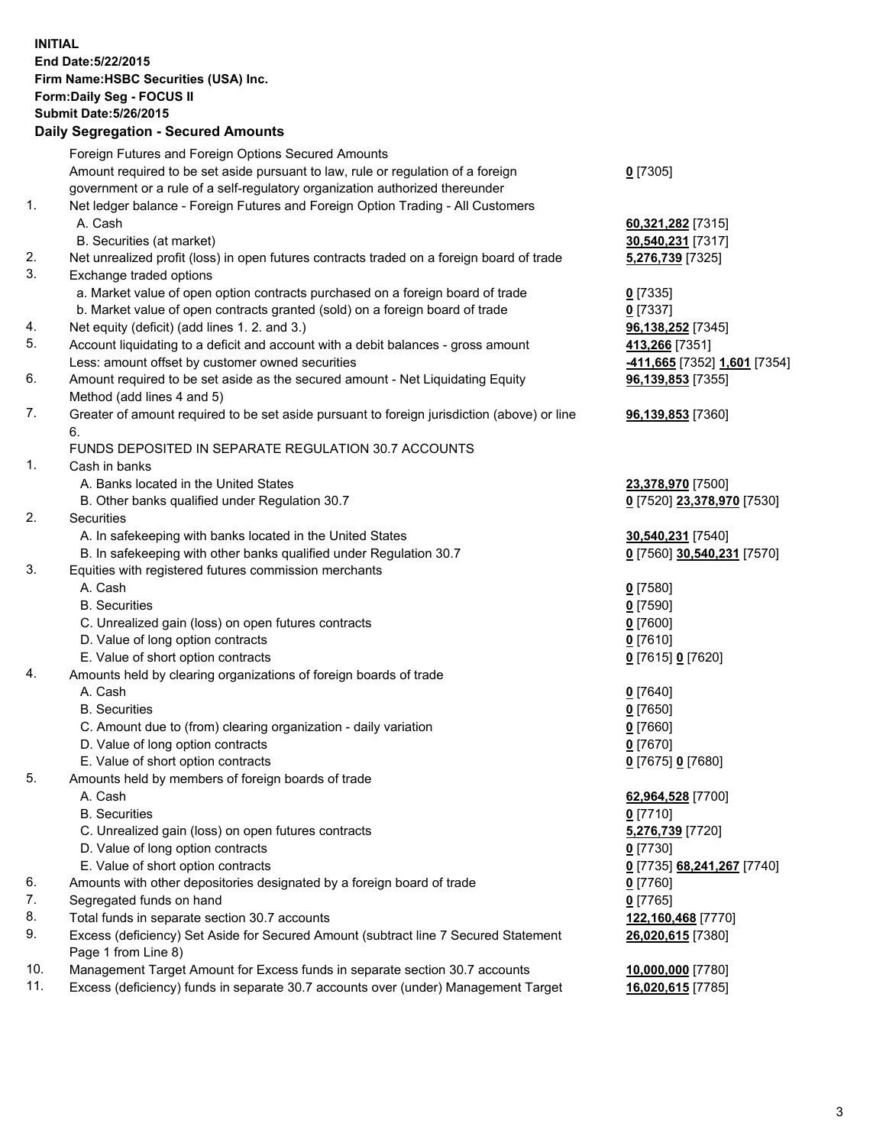**INITIAL End Date:5/22/2015 Firm Name:HSBC Securities (USA) Inc. Form:Daily Seg - FOCUS II Submit Date:5/26/2015 Daily Segregation - Secured Amounts**

|          | Dany Ocgregation - Oceanea Amounts                                                                         |                                        |
|----------|------------------------------------------------------------------------------------------------------------|----------------------------------------|
|          | Foreign Futures and Foreign Options Secured Amounts                                                        |                                        |
|          | Amount required to be set aside pursuant to law, rule or regulation of a foreign                           | $0$ [7305]                             |
|          | government or a rule of a self-regulatory organization authorized thereunder                               |                                        |
| 1.       | Net ledger balance - Foreign Futures and Foreign Option Trading - All Customers                            |                                        |
|          | A. Cash                                                                                                    | 60,321,282 [7315]                      |
|          | B. Securities (at market)                                                                                  | 30,540,231 [7317]                      |
| 2.       | Net unrealized profit (loss) in open futures contracts traded on a foreign board of trade                  | 5,276,739 [7325]                       |
| 3.       | Exchange traded options                                                                                    |                                        |
|          | a. Market value of open option contracts purchased on a foreign board of trade                             | $0$ [7335]                             |
|          | b. Market value of open contracts granted (sold) on a foreign board of trade                               | $0$ [7337]                             |
| 4.       | Net equity (deficit) (add lines 1.2. and 3.)                                                               | 96,138,252 [7345]                      |
| 5.       | Account liquidating to a deficit and account with a debit balances - gross amount                          | 413,266 [7351]                         |
|          | Less: amount offset by customer owned securities                                                           | -411,665 [7352] 1,601 [7354]           |
| 6.       | Amount required to be set aside as the secured amount - Net Liquidating Equity                             | 96,139,853 [7355]                      |
|          | Method (add lines 4 and 5)                                                                                 |                                        |
| 7.       | Greater of amount required to be set aside pursuant to foreign jurisdiction (above) or line                | 96,139,853 [7360]                      |
|          | 6.                                                                                                         |                                        |
|          | FUNDS DEPOSITED IN SEPARATE REGULATION 30.7 ACCOUNTS                                                       |                                        |
| 1.       | Cash in banks                                                                                              |                                        |
|          | A. Banks located in the United States                                                                      | 23,378,970 [7500]                      |
|          | B. Other banks qualified under Regulation 30.7                                                             | 0 [7520] 23,378,970 [7530]             |
| 2.       | Securities                                                                                                 |                                        |
|          | A. In safekeeping with banks located in the United States                                                  | 30,540,231 [7540]                      |
|          | B. In safekeeping with other banks qualified under Regulation 30.7                                         | 0 [7560] 30,540,231 [7570]             |
| 3.       | Equities with registered futures commission merchants                                                      |                                        |
|          | A. Cash                                                                                                    | $0$ [7580]                             |
|          | <b>B.</b> Securities                                                                                       | $0$ [7590]                             |
|          | C. Unrealized gain (loss) on open futures contracts                                                        | $0$ [7600]                             |
|          | D. Value of long option contracts                                                                          | $0$ [7610]                             |
|          | E. Value of short option contracts                                                                         | 0 [7615] 0 [7620]                      |
| 4.       | Amounts held by clearing organizations of foreign boards of trade                                          |                                        |
|          | A. Cash                                                                                                    | $0$ [7640]                             |
|          | <b>B.</b> Securities                                                                                       | $0$ [7650]                             |
|          | C. Amount due to (from) clearing organization - daily variation                                            | $0$ [7660]                             |
|          | D. Value of long option contracts                                                                          | $0$ [7670]                             |
|          | E. Value of short option contracts                                                                         | 0 [7675] 0 [7680]                      |
| 5.       | Amounts held by members of foreign boards of trade                                                         |                                        |
|          | A. Cash                                                                                                    | 62,964,528 [7700]                      |
|          | <b>B.</b> Securities                                                                                       | $0$ [7710]                             |
|          | C. Unrealized gain (loss) on open futures contracts                                                        | 5,276,739 [7720]                       |
|          | D. Value of long option contracts                                                                          | $0$ [7730]                             |
|          | E. Value of short option contracts                                                                         | 0 [7735] 68,241,267 [7740]             |
| 6.<br>7. | Amounts with other depositories designated by a foreign board of trade                                     | 0 [7760]                               |
| 8.       | Segregated funds on hand                                                                                   | $0$ [7765]                             |
| 9.       | Total funds in separate section 30.7 accounts                                                              | 122,160,468 [7770]                     |
|          | Excess (deficiency) Set Aside for Secured Amount (subtract line 7 Secured Statement<br>Page 1 from Line 8) | 26,020,615 [7380]                      |
| 10.      | Management Target Amount for Excess funds in separate section 30.7 accounts                                |                                        |
| 11.      | Excess (deficiency) funds in separate 30.7 accounts over (under) Management Target                         | 10,000,000 [7780]<br>16,020,615 [7785] |
|          |                                                                                                            |                                        |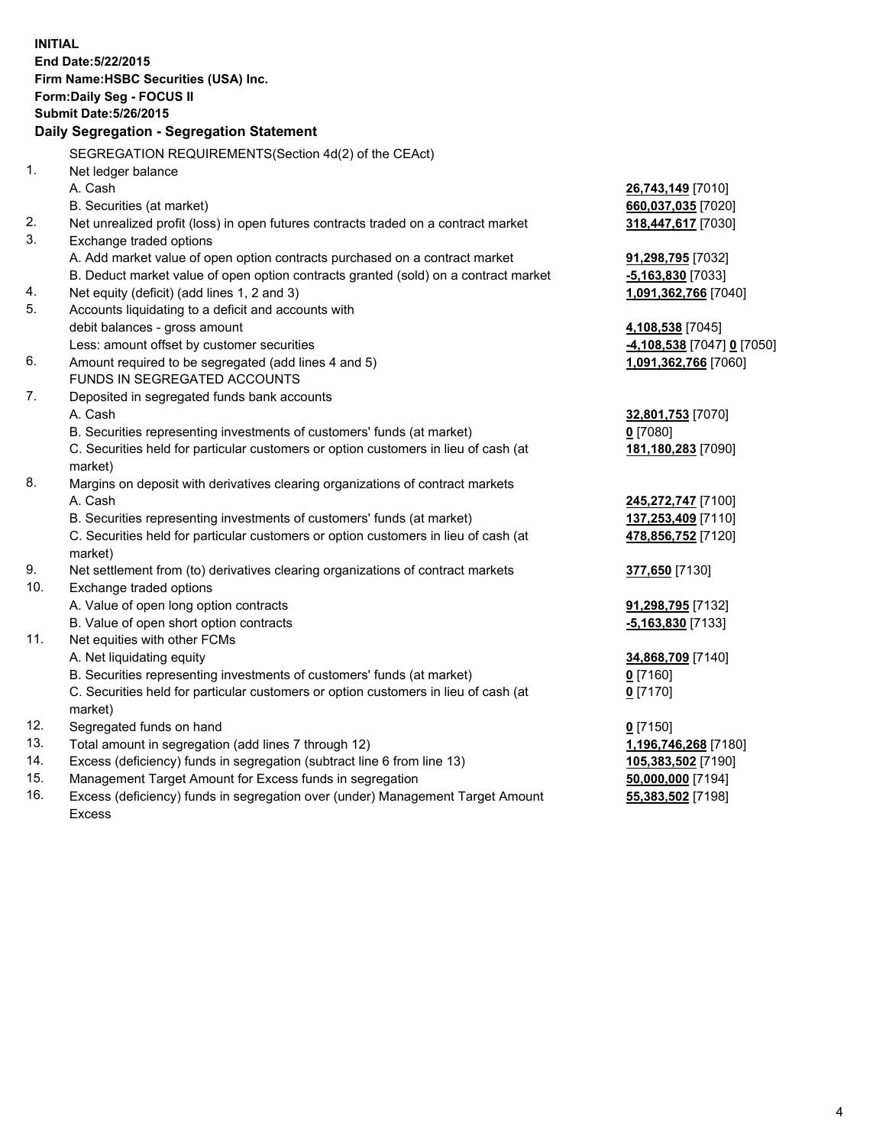| <b>INITIAL</b> | End Date: 5/22/2015<br>Firm Name: HSBC Securities (USA) Inc.<br>Form: Daily Seg - FOCUS II<br><b>Submit Date: 5/26/2015</b> |                            |
|----------------|-----------------------------------------------------------------------------------------------------------------------------|----------------------------|
|                | Daily Segregation - Segregation Statement                                                                                   |                            |
|                | SEGREGATION REQUIREMENTS(Section 4d(2) of the CEAct)                                                                        |                            |
| 1.             | Net ledger balance                                                                                                          |                            |
|                | A. Cash                                                                                                                     | 26,743,149 [7010]          |
|                | B. Securities (at market)                                                                                                   | 660,037,035 [7020]         |
| 2.             | Net unrealized profit (loss) in open futures contracts traded on a contract market                                          | 318,447,617 [7030]         |
| 3.             | Exchange traded options                                                                                                     |                            |
|                | A. Add market value of open option contracts purchased on a contract market                                                 | 91,298,795 [7032]          |
|                | B. Deduct market value of open option contracts granted (sold) on a contract market                                         | $-5,163,830$ [7033]        |
| 4.             | Net equity (deficit) (add lines 1, 2 and 3)                                                                                 | 1,091,362,766 [7040]       |
| 5.             | Accounts liquidating to a deficit and accounts with                                                                         |                            |
|                | debit balances - gross amount                                                                                               | 4,108,538 [7045]           |
|                | Less: amount offset by customer securities                                                                                  | -4,108,538 [7047] 0 [7050] |
| 6.             | Amount required to be segregated (add lines 4 and 5)                                                                        | 1,091,362,766 [7060]       |
|                | FUNDS IN SEGREGATED ACCOUNTS                                                                                                |                            |
| 7.             | Deposited in segregated funds bank accounts                                                                                 |                            |
|                | A. Cash                                                                                                                     | 32,801,753 [7070]          |
|                | B. Securities representing investments of customers' funds (at market)                                                      | $0$ [7080]                 |
|                | C. Securities held for particular customers or option customers in lieu of cash (at<br>market)                              | 181,180,283 [7090]         |
| 8.             | Margins on deposit with derivatives clearing organizations of contract markets                                              |                            |
|                | A. Cash                                                                                                                     | 245,272,747 [7100]         |
|                | B. Securities representing investments of customers' funds (at market)                                                      | 137,253,409 [7110]         |
|                | C. Securities held for particular customers or option customers in lieu of cash (at<br>market)                              | 478,856,752 [7120]         |
| 9.             | Net settlement from (to) derivatives clearing organizations of contract markets                                             | 377,650 [7130]             |
| 10.            | Exchange traded options                                                                                                     |                            |
|                | A. Value of open long option contracts                                                                                      | 91,298,795 [7132]          |
|                | B. Value of open short option contracts                                                                                     | $-5,163,830$ [7133]        |
| 11.            | Net equities with other FCMs                                                                                                |                            |
|                | A. Net liquidating equity                                                                                                   | 34,868,709 [7140]          |
|                | B. Securities representing investments of customers' funds (at market)                                                      | 0 [7160]                   |
|                | C. Securities held for particular customers or option customers in lieu of cash (at<br>market)                              | $0$ [7170]                 |
| 12.            | Segregated funds on hand                                                                                                    | $0$ [7150]                 |
| 13.            | Total amount in segregation (add lines 7 through 12)                                                                        | 1,196,746,268 [7180]       |
| 14.            | Excess (deficiency) funds in segregation (subtract line 6 from line 13)                                                     | 105,383,502 [7190]         |
| 15.            | Management Target Amount for Excess funds in segregation                                                                    | 50,000,000 [7194]          |
| 16.            | Excess (deficiency) funds in segregation over (under) Management Target Amount                                              | 55,383,502 [7198]          |
|                | <b>Excess</b>                                                                                                               |                            |